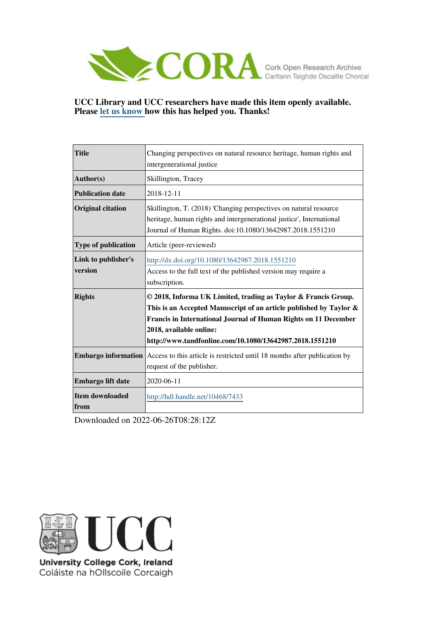

### **UCC Library and UCC researchers have made this item openly available. Please [let us know h](https://libguides.ucc.ie/openaccess/impact?suffix=7433&title=Changing perspectives on natural resource heritage, human rights and intergenerational justice)ow this has helped you. Thanks!**

| <b>Title</b>                     | Changing perspectives on natural resource heritage, human rights and                                                                                                                                                                                                                              |  |  |  |  |  |  |
|----------------------------------|---------------------------------------------------------------------------------------------------------------------------------------------------------------------------------------------------------------------------------------------------------------------------------------------------|--|--|--|--|--|--|
|                                  | intergenerational justice                                                                                                                                                                                                                                                                         |  |  |  |  |  |  |
| Author(s)                        | Skillington, Tracey                                                                                                                                                                                                                                                                               |  |  |  |  |  |  |
| <b>Publication date</b>          | 2018-12-11                                                                                                                                                                                                                                                                                        |  |  |  |  |  |  |
| <b>Original citation</b>         | Skillington, T. (2018) 'Changing perspectives on natural resource<br>heritage, human rights and intergenerational justice', International<br>Journal of Human Rights. doi:10.1080/13642987.2018.1551210                                                                                           |  |  |  |  |  |  |
| <b>Type of publication</b>       | Article (peer-reviewed)                                                                                                                                                                                                                                                                           |  |  |  |  |  |  |
| Link to publisher's<br>version   | http://dx.doi.org/10.1080/13642987.2018.1551210<br>Access to the full text of the published version may require a<br>subscription.                                                                                                                                                                |  |  |  |  |  |  |
| <b>Rights</b>                    | © 2018, Informa UK Limited, trading as Taylor & Francis Group.<br>This is an Accepted Manuscript of an article published by Taylor $\&$<br>Francis in International Journal of Human Rights on 11 December<br>2018, available online:<br>http://www.tandfonline.com/10.1080/13642987.2018.1551210 |  |  |  |  |  |  |
| <b>Embargo information</b>       | Access to this article is restricted until 18 months after publication by<br>request of the publisher.                                                                                                                                                                                            |  |  |  |  |  |  |
| Embargo lift date                | 2020-06-11                                                                                                                                                                                                                                                                                        |  |  |  |  |  |  |
| <b>Item downloaded</b><br>  from | http://hdl.handle.net/10468/7433                                                                                                                                                                                                                                                                  |  |  |  |  |  |  |

Downloaded on 2022-06-26T08:28:12Z



University College Cork, Ireland Coláiste na hOllscoile Corcaigh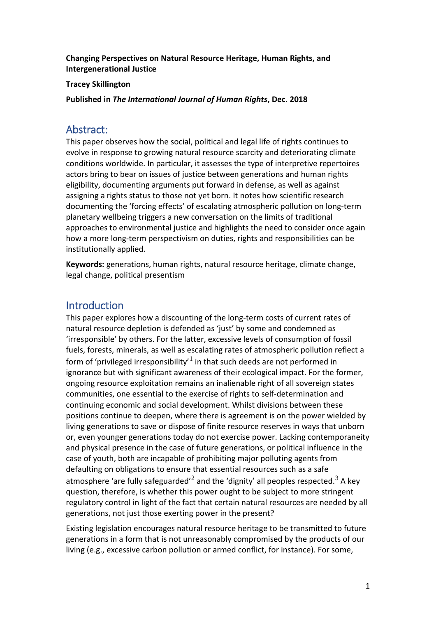**Changing Perspectives on Natural Resource Heritage, Human Rights, and Intergenerational Justice**

**Tracey Skillington**

**Published in** *The International Journal of Human Rights***, Dec. 2018**

## Abstract:

This paper observes how the social, political and legal life of rights continues to evolve in response to growing natural resource scarcity and deteriorating climate conditions worldwide. In particular, it assesses the type of interpretive repertoires actors bring to bear on issues of justice between generations and human rights eligibility, documenting arguments put forward in defense, as well as against assigning a rights status to those not yet born. It notes how scientific research documenting the 'forcing effects' of escalating atmospheric pollution on long-term planetary wellbeing triggers a new conversation on the limits of traditional approaches to environmental justice and highlights the need to consider once again how a more long-term perspectivism on duties, rights and responsibilities can be institutionally applied.

**Keywords:** generations, human rights, natural resource heritage, climate change, legal change, political presentism

# **Introduction**

This paper explores how a discounting of the long-term costs of current rates of natural resource depletion is defended as 'just' by some and condemned as 'irresponsible' by others. For the latter, excessive levels of consumption of fossil fuels, forests, minerals, as well as escalating rates of atmospheric pollution reflect a form of 'privileged irresponsibility' $1$  in that such deeds are not performed in ignorance but with significant awareness of their ecological impact. For the former, ongoing resource exploitation remains an inalienable right of all sovereign states communities, one essential to the exercise of rights to self-determination and continuing economic and social development. Whilst divisions between these positions continue to deepen, where there is agreement is on the power wielded by living generations to save or dispose of finite resource reserves in ways that unborn or, even younger generations today do not exercise power. Lacking contemporaneity and physical presence in the case of future generations, or political influence in the case of youth, both are incapable of prohibiting major polluting agents from defaulting on obligations to ensure that essential resources such as a safe atmosphere 'are fully safeguarded'<sup>[2](#page-16-1)</sup> and the 'dignity' all peoples respected.<sup>[3](#page-16-2)</sup> A key question, therefore, is whether this power ought to be subject to more stringent regulatory control in light of the fact that certain natural resources are needed by all generations, not just those exerting power in the present?

Existing legislation encourages natural resource heritage to be transmitted to future generations in a form that is not unreasonably compromised by the products of our living (e.g., excessive carbon pollution or armed conflict, for instance). For some,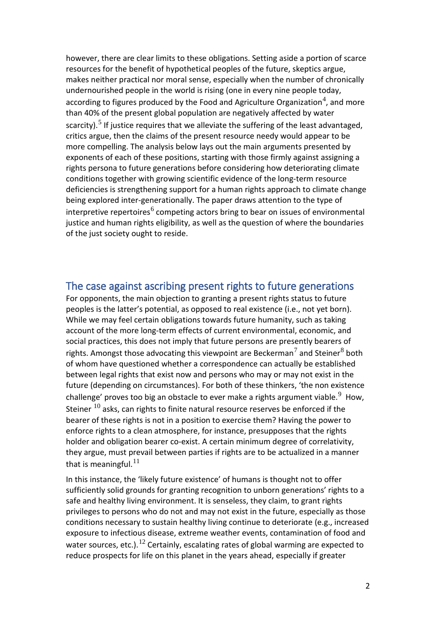however, there are clear limits to these obligations. Setting aside a portion of scarce resources for the benefit of hypothetical peoples of the future, skeptics argue, makes neither practical nor moral sense, especially when the number of chronically undernourished people in the world is rising (one in every nine people today, according to figures produced by the Food and Agriculture Organization<sup>[4](#page-16-3)</sup>, and more than 40% of the present global population are negatively affected by water scarcity).<sup>[5](#page-16-4)</sup> If justice requires that we alleviate the suffering of the least advantaged, critics argue, then the claims of the present resource needy would appear to be more compelling. The analysis below lays out the main arguments presented by exponents of each of these positions, starting with those firmly against assigning a rights persona to future generations before considering how deteriorating climate conditions together with growing scientific evidence of the long-term resource deficiencies is strengthening support for a human rights approach to climate change being explored inter-generationally. The paper draws attention to the type of interpretive repertoires<sup>[6](#page-16-5)</sup> competing actors bring to bear on issues of environmental justice and human rights eligibility, as well as the question of where the boundaries of the just society ought to reside.

## The case against ascribing present rights to future generations

For opponents, the main objection to granting a present rights status to future peoples is the latter's potential, as opposed to real existence (i.e., not yet born). While we may feel certain obligations towards future humanity, such as taking account of the more long-term effects of current environmental, economic, and social practices, this does not imply that future persons are presently bearers of rights. Amongst those advocating this viewpoint are Beckerman<sup>[7](#page-16-6)</sup> and Steiner<sup>[8](#page-16-7)</sup> both of whom have questioned whether a correspondence can actually be established between legal rights that exist now and persons who may or may not exist in the future (depending on circumstances). For both of these thinkers, 'the non existence challenge' proves too big an obstacle to ever make a rights argument viable.<sup>[9](#page-16-8)</sup> How, Steiner  $^{10}$  $^{10}$  $^{10}$  asks, can rights to finite natural resource reserves be enforced if the bearer of these rights is not in a position to exercise them? Having the power to enforce rights to a clean atmosphere, for instance, presupposes that the rights holder and obligation bearer co-exist. A certain minimum degree of correlativity, they argue, must prevail between parties if rights are to be actualized in a manner that is meaningful. $^{11}$  $^{11}$  $^{11}$ 

In this instance, the 'likely future existence' of humans is thought not to offer sufficiently solid grounds for granting recognition to unborn generations' rights to a safe and healthy living environment. It is senseless, they claim, to grant rights privileges to persons who do not and may not exist in the future, especially as those conditions necessary to sustain healthy living continue to deteriorate (e.g., increased exposure to infectious disease, extreme weather events, contamination of food and water sources, etc.).<sup>[12](#page-16-11)</sup> Certainly, escalating rates of global warming are expected to reduce prospects for life on this planet in the years ahead, especially if greater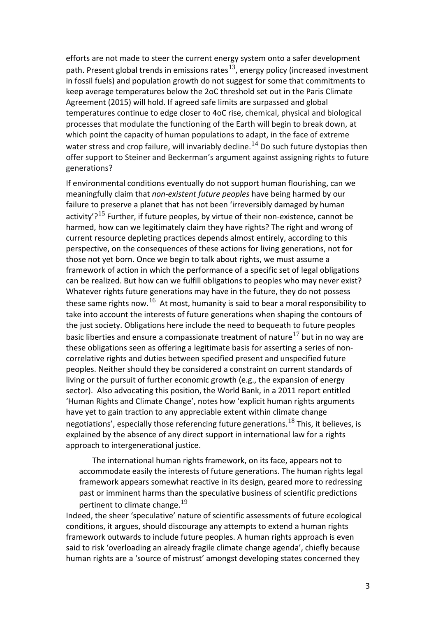efforts are not made to steer the current energy system onto a safer development path. Present global trends in emissions rates $^{13}$  $^{13}$  $^{13}$ , energy policy (increased investment in fossil fuels) and population growth do not suggest for some that commitments to keep average temperatures below the 2oC threshold set out in the Paris Climate Agreement (2015) will hold. If agreed safe limits are surpassed and global temperatures continue to edge closer to 4oC rise, chemical, physical and biological processes that modulate the functioning of the Earth will begin to break down, at which point the capacity of human populations to adapt, in the face of extreme water stress and crop failure, will invariably decline.  $^{14}$  $^{14}$  $^{14}$  Do such future dystopias then offer support to Steiner and Beckerman's argument against assigning rights to future generations?

If environmental conditions eventually do not support human flourishing, can we meaningfully claim that *non-existent future peoples* have being harmed by our failure to preserve a planet that has not been 'irreversibly damaged by human activity'?<sup>[15](#page-17-1)</sup> Further, if future peoples, by virtue of their non-existence, cannot be harmed, how can we legitimately claim they have rights? The right and wrong of current resource depleting practices depends almost entirely, according to this perspective, on the consequences of these actions for living generations, not for those not yet born. Once we begin to talk about rights, we must assume a framework of action in which the performance of a specific set of legal obligations can be realized. But how can we fulfill obligations to peoples who may never exist? Whatever rights future generations may have in the future, they do not possess these same rights now.  $^{16}$  $^{16}$  $^{16}$  At most, humanity is said to bear a moral responsibility to take into account the interests of future generations when shaping the contours of the just society. Obligations here include the need to bequeath to future peoples basic liberties and ensure a compassionate treatment of nature<sup>[17](#page-17-3)</sup> but in no way are these obligations seen as offering a legitimate basis for asserting a series of noncorrelative rights and duties between specified present and unspecified future peoples. Neither should they be considered a constraint on current standards of living or the pursuit of further economic growth (e.g., the expansion of energy sector). Also advocating this position, the World Bank, in a 2011 report entitled 'Human Rights and Climate Change', notes how 'explicit human rights arguments have yet to gain traction to any appreciable extent within climate change negotiations', especially those referencing future generations.  $^{18}$  $^{18}$  $^{18}$  This, it believes, is explained by the absence of any direct support in international law for a rights approach to intergenerational justice.

The international human rights framework, on its face, appears not to accommodate easily the interests of future generations. The human rights legal framework appears somewhat reactive in its design, geared more to redressing past or imminent harms than the speculative business of scientific predictions pertinent to climate change.  $^{19}$  $^{19}$  $^{19}$ 

Indeed, the sheer 'speculative' nature of scientific assessments of future ecological conditions, it argues, should discourage any attempts to extend a human rights framework outwards to include future peoples. A human rights approach is even said to risk 'overloading an already fragile climate change agenda', chiefly because human rights are a 'source of mistrust' amongst developing states concerned they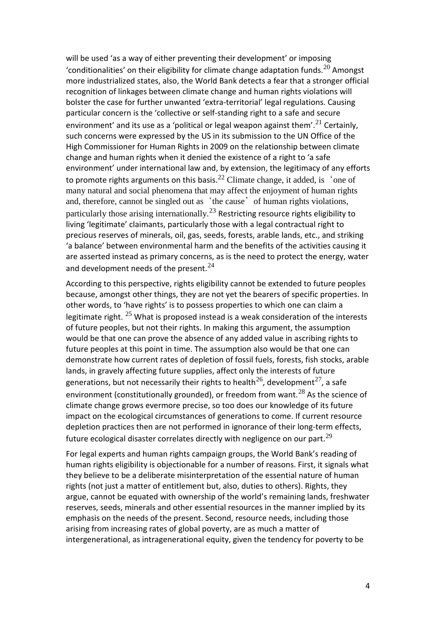will be used 'as a way of either preventing their development' or imposing 'conditionalities' on their eligibility for climate change adaptation funds.<sup>[20](#page-17-6)</sup> Amongst more industrialized states, also, the World Bank detects a fear that a stronger official recognition of linkages between climate change and human rights violations will bolster the case for further unwanted 'extra-territorial' legal regulations. Causing particular concern is the 'collective or self-standing right to a safe and secure environment' and its use as a 'political or legal weapon against them'. $^{21}$  $^{21}$  $^{21}$  Certainly, such concerns were expressed by the US in its submission to the UN Office of the High Commissioner for Human Rights in 2009 on the relationship between climate change and human rights when it denied the existence of a right to 'a safe environment' under international law and, by extension, the legitimacy of any efforts to promote rights arguments on this basis.<sup>[22](#page-17-8)</sup> Climate change, it added, is 'one of many natural and social phenomena that may affect the enjoyment of human rights and, therefore, cannot be singled out as 'the cause' of human rights violations, particularly those arising internationally. $^{23}$  $^{23}$  $^{23}$  Restricting resource rights eligibility to living 'legitimate' claimants, particularly those with a legal contractual right to precious reserves of minerals, oil, gas, seeds, forests, arable lands, etc., and striking 'a balance' between environmental harm and the benefits of the activities causing it are asserted instead as primary concerns, as is the need to protect the energy, water and development needs of the present.<sup>[24](#page-17-10)</sup>

According to this perspective, rights eligibility cannot be extended to future peoples because, amongst other things, they are not yet the bearers of specific properties. In other words, to 'have rights' is to possess properties to which one can claim a legitimate right.  $25$  What is proposed instead is a weak consideration of the interests of future peoples, but not their rights. In making this argument, the assumption would be that one can prove the absence of any added value in ascribing rights to future peoples at this point in time. The assumption also would be that one can demonstrate how current rates of depletion of fossil fuels, forests, fish stocks, arable lands, in gravely affecting future supplies, affect only the interests of future generations, but not necessarily their rights to health<sup>[26](#page-17-12)</sup>, development<sup>[27](#page-17-13)</sup>, a safe environment (constitutionally grounded), or freedom from want. $^{28}$  $^{28}$  $^{28}$  As the science of climate change grows evermore precise, so too does our knowledge of its future impact on the ecological circumstances of generations to come. If current resource depletion practices then are not performed in ignorance of their long-term effects, future ecological disaster correlates directly with negligence on our part.<sup>[29](#page-17-15)</sup>

For legal experts and human rights campaign groups, the World Bank's reading of human rights eligibility is objectionable for a number of reasons. First, it signals what they believe to be a deliberate misinterpretation of the essential nature of human rights (not just a matter of entitlement but, also, duties to others). Rights, they argue, cannot be equated with ownership of the world's remaining lands, freshwater reserves, seeds, minerals and other essential resources in the manner implied by its emphasis on the needs of the present. Second, resource needs, including those arising from increasing rates of global poverty, are as much a matter of intergenerational, as intragenerational equity, given the tendency for poverty to be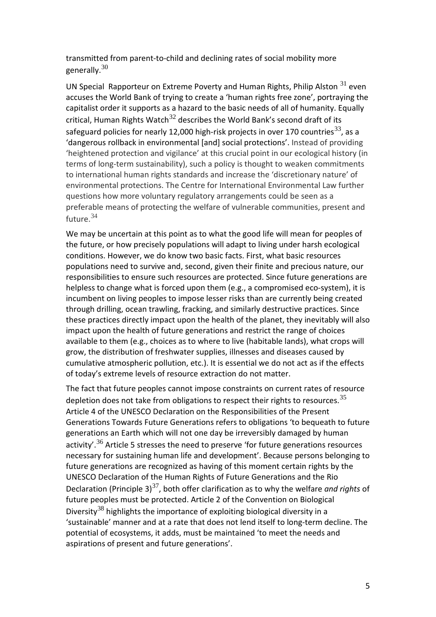transmitted from parent-to-child and declining rates of social mobility more generally. $^{30}$  $^{30}$  $^{30}$ 

UN Special Rapporteur on Extreme Poverty and Human Rights, Philip Alston <sup>[31](#page-17-17)</sup> even accuses the World Bank of trying to create a 'human rights free zone', portraying the capitalist order it supports as a hazard to the basic needs of all of humanity. Equally critical, Human Rights Watch<sup>[32](#page-18-0)</sup> describes the World Bank's second draft of its safeguard policies for nearly 12,000 high-risk projects in over 170 countries<sup>[33](#page-18-1)</sup>, as a 'dangerous rollback in environmental [and] social protections'. Instead of providing 'heightened protection and vigilance' at this crucial point in our ecological history (in terms of long-term sustainability), such a policy is thought to weaken commitments to international human rights standards and increase the 'discretionary nature' of environmental protections. The Centre for International Environmental Law further questions how more voluntary regulatory arrangements could be seen as a preferable means of protecting the welfare of vulnerable communities, present and future.[34](#page-18-2)

We may be uncertain at this point as to what the good life will mean for peoples of the future, or how precisely populations will adapt to living under harsh ecological conditions. However, we do know two basic facts. First, what basic resources populations need to survive and, second, given their finite and precious nature, our responsibilities to ensure such resources are protected. Since future generations are helpless to change what is forced upon them (e.g., a compromised eco-system), it is incumbent on living peoples to impose lesser risks than are currently being created through drilling, ocean trawling, fracking, and similarly destructive practices. Since these practices directly impact upon the health of the planet, they inevitably will also impact upon the health of future generations and restrict the range of choices available to them (e.g., choices as to where to live (habitable lands), what crops will grow, the distribution of freshwater supplies, illnesses and diseases caused by cumulative atmospheric pollution, etc.). It is essential we do not act as if the effects of today's extreme levels of resource extraction do not matter.

The fact that future peoples cannot impose constraints on current rates of resource depletion does not take from obligations to respect their rights to resources.<sup>[35](#page-18-3)</sup> Article 4 of the UNESCO Declaration on the Responsibilities of the Present Generations Towards Future Generations refers to obligations 'to bequeath to future generations an Earth which will not one day be irreversibly damaged by human activity'.  $36$  Article 5 stresses the need to preserve 'for future generations resources necessary for sustaining human life and development'. Because persons belonging to future generations are recognized as having of this moment certain rights by the UNESCO Declaration of the Human Rights of Future Generations and the Rio Declaration (Principle 3)<sup>[37](#page-18-5)</sup>, both offer clarification as to why the welfare *and rights* of future peoples must be protected. Article 2 of the Convention on Biological Diversity<sup>[38](#page-18-6)</sup> highlights the importance of exploiting biological diversity in a 'sustainable' manner and at a rate that does not lend itself to long-term decline. The potential of ecosystems, it adds, must be maintained 'to meet the needs and aspirations of present and future generations'.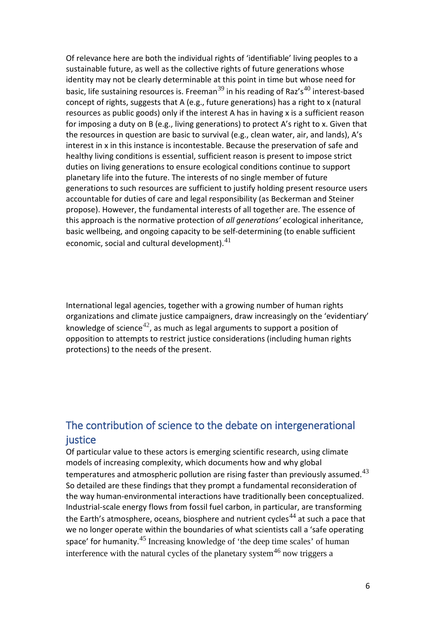Of relevance here are both the individual rights of 'identifiable' living peoples to a sustainable future, as well as the collective rights of future generations whose identity may not be clearly determinable at this point in time but whose need for basic, life sustaining resources is. Freeman $^{39}$  $^{39}$  $^{39}$  in his reading of Raz's<sup>[40](#page-18-8)</sup> interest-based concept of rights, suggests that A (e.g., future generations) has a right to x (natural resources as public goods) only if the interest A has in having x is a sufficient reason for imposing a duty on B (e.g., living generations) to protect A's right to x. Given that the resources in question are basic to survival (e.g., clean water, air, and lands), A's interest in x in this instance is incontestable. Because the preservation of safe and healthy living conditions is essential, sufficient reason is present to impose strict duties on living generations to ensure ecological conditions continue to support planetary life into the future. The interests of no single member of future generations to such resources are sufficient to justify holding present resource users accountable for duties of care and legal responsibility (as Beckerman and Steiner propose). However, the fundamental interests of all together are. The essence of this approach is the normative protection of *all generations'* ecological inheritance, basic wellbeing, and ongoing capacity to be self-determining (to enable sufficient economic, social and cultural development). $^{41}$  $^{41}$  $^{41}$ 

International legal agencies, together with a growing number of human rights organizations and climate justice campaigners, draw increasingly on the 'evidentiary' knowledge of science<sup>[42](#page-18-10)</sup>, as much as legal arguments to support a position of opposition to attempts to restrict justice considerations (including human rights protections) to the needs of the present.

# The contribution of science to the debate on intergenerational justice

Of particular value to these actors is emerging scientific research, using climate models of increasing complexity, which documents how and why global temperatures and atmospheric pollution are rising faster than previously assumed. $^{43}$  $^{43}$  $^{43}$ So detailed are these findings that they prompt a fundamental reconsideration of the way human-environmental interactions have traditionally been conceptualized. Industrial-scale energy flows from fossil fuel carbon, in particular, are transforming the Earth's atmosphere, oceans, biosphere and nutrient cycles<sup>[44](#page-18-12)</sup> at such a pace that we no longer operate within the boundaries of what scientists call a 'safe operating space' for humanity.<sup>[45](#page-18-13)</sup> Increasing knowledge of 'the deep time scales' of human interference with the natural cycles of the planetary system<sup>[46](#page-18-14)</sup> now triggers a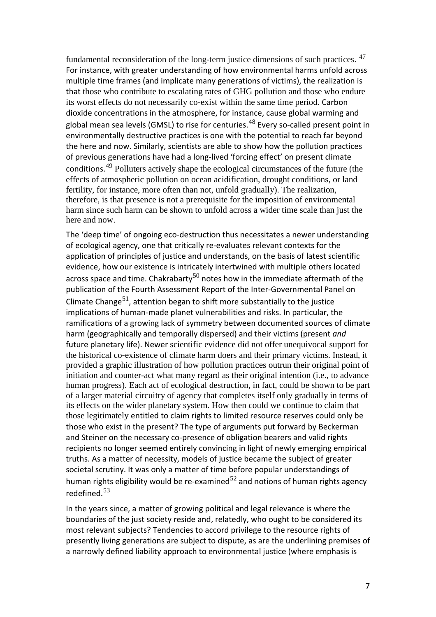fundamental reconsideration of the long-term justice dimensions of such practices. [47](#page-18-15) For instance, with greater understanding of how environmental harms unfold across multiple time frames (and implicate many generations of victims), the realization is that those who contribute to escalating rates of GHG pollution and those who endure its worst effects do not necessarily co-exist within the same time period. Carbon dioxide concentrations in the atmosphere, for instance, cause global warming and global mean sea levels (GMSL) to rise for centuries.<sup>[48](#page-19-0)</sup> Every so-called present point in environmentally destructive practices is one with the potential to reach far beyond the here and now. Similarly, scientists are able to show how the pollution practices of previous generations have had a long-lived 'forcing effect' on present climate conditions.<sup>[49](#page-19-1)</sup> Polluters actively shape the ecological circumstances of the future (the effects of atmospheric pollution on ocean acidification, drought conditions, or land fertility, for instance, more often than not, unfold gradually). The realization, therefore, is that presence is not a prerequisite for the imposition of environmental harm since such harm can be shown to unfold across a wider time scale than just the here and now.

The 'deep time' of ongoing eco-destruction thus necessitates a newer understanding of ecological agency, one that critically re-evaluates relevant contexts for the application of principles of justice and understands, on the basis of latest scientific evidence, how our existence is intricately intertwined with multiple others located across space and time. Chakrabarty<sup>[50](#page-19-2)</sup> notes how in the immediate aftermath of the publication of the Fourth Assessment Report of the Inter-Governmental Panel on Climate Change<sup>[51](#page-19-3)</sup>, attention began to shift more substantially to the justice implications of human-made planet vulnerabilities and risks. In particular, the ramifications of a growing lack of symmetry between documented sources of climate harm (geographically and temporally dispersed) and their victims (present *and*  future planetary life). Newer scientific evidence did not offer unequivocal support for the historical co-existence of climate harm doers and their primary victims. Instead, it provided a graphic illustration of how pollution practices outrun their original point of initiation and counter-act what many regard as their original intention (i.e., to advance human progress). Each act of ecological destruction, in fact, could be shown to be part of a larger material circuitry of agency that completes itself only gradually in terms of its effects on the wider planetary system. How then could we continue to claim that those legitimately entitled to claim rights to limited resource reserves could only be those who exist in the present? The type of arguments put forward by Beckerman and Steiner on the necessary co-presence of obligation bearers and valid rights recipients no longer seemed entirely convincing in light of newly emerging empirical truths. As a matter of necessity, models of justice became the subject of greater societal scrutiny. It was only a matter of time before popular understandings of human rights eligibility would be re-examined $52$  and notions of human rights agency redefined.[53](#page-19-5)

In the years since, a matter of growing political and legal relevance is where the boundaries of the just society reside and, relatedly, who ought to be considered its most relevant subjects? Tendencies to accord privilege to the resource rights of presently living generations are subject to dispute, as are the underlining premises of a narrowly defined liability approach to environmental justice (where emphasis is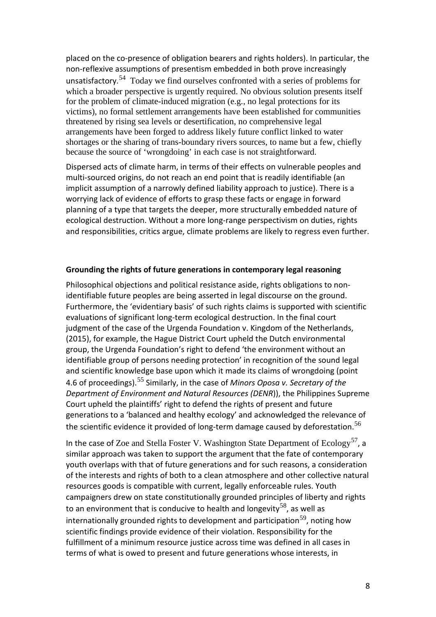placed on the co-presence of obligation bearers and rights holders). In particular, the non-reflexive assumptions of presentism embedded in both prove increasingly unsatisfactory.<sup>[54](#page-19-6)</sup> Today we find ourselves confronted with a series of problems for which a broader perspective is urgently required. No obvious solution presents itself for the problem of climate-induced migration (e.g., no legal protections for its victims), no formal settlement arrangements have been established for communities threatened by rising sea levels or desertification, no comprehensive legal arrangements have been forged to address likely future conflict linked to water shortages or the sharing of trans-boundary rivers sources, to name but a few, chiefly because the source of 'wrongdoing' in each case is not straightforward.

Dispersed acts of climate harm, in terms of their effects on vulnerable peoples and multi-sourced origins, do not reach an end point that is readily identifiable (an implicit assumption of a narrowly defined liability approach to justice). There is a worrying lack of evidence of efforts to grasp these facts or engage in forward planning of a type that targets the deeper, more structurally embedded nature of ecological destruction. Without a more long-range perspectivism on duties, rights and responsibilities, critics argue, climate problems are likely to regress even further.

#### **Grounding the rights of future generations in contemporary legal reasoning**

Philosophical objections and political resistance aside, rights obligations to nonidentifiable future peoples are being asserted in legal discourse on the ground. Furthermore, the 'evidentiary basis' of such rights claims is supported with scientific evaluations of significant long-term ecological destruction. In the final court judgment of the case of the Urgenda Foundation v. Kingdom of the Netherlands, (2015), for example, the Hague District Court upheld the Dutch environmental group, the Urgenda Foundation's right to defend 'the environment without an identifiable group of persons needing protection' in recognition of the sound legal and scientific knowledge base upon which it made its claims of wrongdoing (point 4.6 of proceedings).[55](#page-19-7) Similarly, in the case of *Minors Oposa v. Secretary of the Department of Environment and Natural Resources (DENR*)), the Philippines Supreme Court upheld the plaintiffs' right to defend the rights of present and future generations to a 'balanced and healthy ecology' and acknowledged the relevance of the scientific evidence it provided of long-term damage caused by deforestation.<sup>[56](#page-19-8)</sup>

In the case of Zoe and Stella Foster V. Washington State Department of  $Ecology<sup>57</sup>$  $Ecology<sup>57</sup>$  $Ecology<sup>57</sup>$ , a similar approach was taken to support the argument that the fate of contemporary youth overlaps with that of future generations and for such reasons, a consideration of the interests and rights of both to a clean atmosphere and other collective natural resources goods is compatible with current, legally enforceable rules. Youth campaigners drew on state constitutionally grounded principles of liberty and rights to an environment that is conducive to health and longevity<sup>[58](#page-19-10)</sup>, as well as internationally grounded rights to development and participation<sup>[59](#page-19-11)</sup>, noting how scientific findings provide evidence of their violation. Responsibility for the fulfillment of a minimum resource justice across time was defined in all cases in terms of what is owed to present and future generations whose interests, in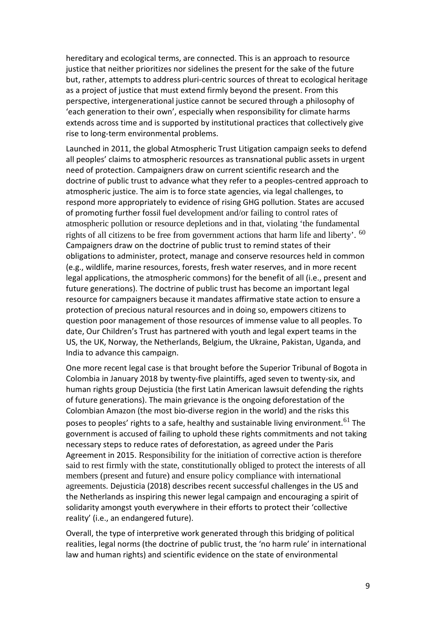hereditary and ecological terms, are connected. This is an approach to resource justice that neither prioritizes nor sidelines the present for the sake of the future but, rather, attempts to address pluri-centric sources of threat to ecological heritage as a project of justice that must extend firmly beyond the present. From this perspective, intergenerational justice cannot be secured through a philosophy of 'each generation to their own', especially when responsibility for climate harms extends across time and is supported by institutional practices that collectively give rise to long-term environmental problems.

Launched in 2011, the global Atmospheric Trust Litigation campaign seeks to defend all peoples' claims to atmospheric resources as transnational public assets in urgent need of protection. Campaigners draw on current scientific research and the doctrine of public trust to advance what they refer to a peoples-centred approach to atmospheric justice. The aim is to force state agencies, via legal challenges, to respond more appropriately to evidence of rising GHG pollution. States are accused of promoting further fossil fuel development and/or failing to control rates of atmospheric pollution or resource depletions and in that, violating 'the fundamental rights of all citizens to be free from government actions that harm life and liberty'. <sup>[60](#page-19-12)</sup> Campaigners draw on the doctrine of public trust to remind states of their obligations to administer, protect, manage and conserve resources held in common (e.g., wildlife, marine resources, forests, fresh water reserves, and in more recent legal applications, the atmospheric commons) for the benefit of all (i.e., present and future generations). The doctrine of public trust has become an important legal resource for campaigners because it mandates affirmative state action to ensure a protection of precious natural resources and in doing so, empowers citizens to question poor management of those resources of immense value to all peoples. To date, Our Children's Trust has partnered with youth and legal expert teams in the US, the UK, Norway, the Netherlands, Belgium, the Ukraine, Pakistan, Uganda, and India to advance this campaign.

One more recent legal case is that brought before the Superior Tribunal of Bogota in Colombia in January 2018 by twenty-five plaintiffs, aged seven to twenty-six, and human rights group Dejusticia (the first Latin American lawsuit defending the rights of future generations). The main grievance is the ongoing deforestation of the Colombian Amazon (the most bio-diverse region in the world) and the risks this poses to peoples' rights to a safe, healthy and sustainable living environment.  $^{61}$  $^{61}$  $^{61}$  The government is accused of failing to uphold these rights commitments and not taking necessary steps to reduce rates of deforestation, as agreed under the Paris Agreement in 2015. Responsibility for the initiation of corrective action is therefore said to rest firmly with the state, constitutionally obliged to protect the interests of all members (present and future) and ensure policy compliance with international agreements. Dejusticia (2018) describes recent successful challenges in the US and the Netherlands as inspiring this newer legal campaign and encouraging a spirit of solidarity amongst youth everywhere in their efforts to protect their 'collective reality' (i.e., an endangered future).

Overall, the type of interpretive work generated through this bridging of political realities, legal norms (the doctrine of public trust, the 'no harm rule' in international law and human rights) and scientific evidence on the state of environmental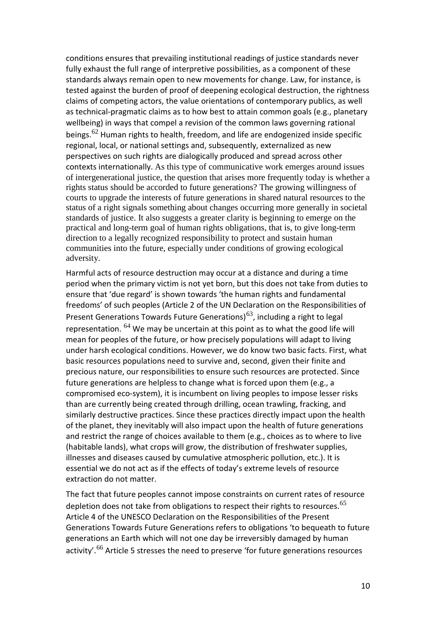conditions ensures that prevailing institutional readings of justice standards never fully exhaust the full range of interpretive possibilities, as a component of these standards always remain open to new movements for change. Law, for instance, is tested against the burden of proof of deepening ecological destruction, the rightness claims of competing actors, the value orientations of contemporary publics, as well as technical-pragmatic claims as to how best to attain common goals (e.g., planetary wellbeing) in ways that compel a revision of the common laws governing rational beings.<sup>[62](#page-20-1)</sup> Human rights to health, freedom, and life are endogenized inside specific regional, local, or national settings and, subsequently, externalized as new perspectives on such rights are dialogically produced and spread across other contexts internationally. As this type of communicative work emerges around issues of intergenerational justice, the question that arises more frequently today is whether a rights status should be accorded to future generations? The growing willingness of courts to upgrade the interests of future generations in shared natural resources to the status of a right signals something about changes occurring more generally in societal standards of justice. It also suggests a greater clarity is beginning to emerge on the practical and long-term goal of human rights obligations, that is, to give long-term direction to a legally recognized responsibility to protect and sustain human communities into the future, especially under conditions of growing ecological adversity.

Harmful acts of resource destruction may occur at a distance and during a time period when the primary victim is not yet born, but this does not take from duties to ensure that 'due regard' is shown towards 'the human rights and fundamental freedoms' of such peoples (Article 2 of the UN Declaration on the Responsibilities of Present Generations Towards Future Generations)<sup>[63](#page-20-2)</sup>, including a right to legal representation.  $^{64}$  $^{64}$  $^{64}$  We may be uncertain at this point as to what the good life will mean for peoples of the future, or how precisely populations will adapt to living under harsh ecological conditions. However, we do know two basic facts. First, what basic resources populations need to survive and, second, given their finite and precious nature, our responsibilities to ensure such resources are protected. Since future generations are helpless to change what is forced upon them (e.g., a compromised eco-system), it is incumbent on living peoples to impose lesser risks than are currently being created through drilling, ocean trawling, fracking, and similarly destructive practices. Since these practices directly impact upon the health of the planet, they inevitably will also impact upon the health of future generations and restrict the range of choices available to them (e.g., choices as to where to live (habitable lands), what crops will grow, the distribution of freshwater supplies, illnesses and diseases caused by cumulative atmospheric pollution, etc.). It is essential we do not act as if the effects of today's extreme levels of resource extraction do not matter.

The fact that future peoples cannot impose constraints on current rates of resource depletion does not take from obligations to respect their rights to resources.  $^{65}$  $^{65}$  $^{65}$ Article 4 of the UNESCO Declaration on the Responsibilities of the Present Generations Towards Future Generations refers to obligations 'to bequeath to future generations an Earth which will not one day be irreversibly damaged by human activity'.<sup>[66](#page-20-2)</sup> Article 5 stresses the need to preserve 'for future generations resources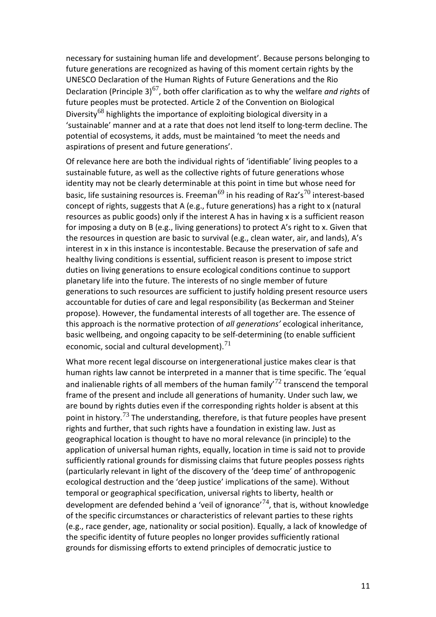necessary for sustaining human life and development'. Because persons belonging to future generations are recognized as having of this moment certain rights by the UNESCO Declaration of the Human Rights of Future Generations and the Rio Declaration (Principle 3)[67](#page-20-2), both offer clarification as to why the welfare *and rights* of future peoples must be protected. Article 2 of the Convention on Biological Diversity<sup>[68](#page-20-2)</sup> highlights the importance of exploiting biological diversity in a 'sustainable' manner and at a rate that does not lend itself to long-term decline. The potential of ecosystems, it adds, must be maintained 'to meet the needs and aspirations of present and future generations'.

Of relevance here are both the individual rights of 'identifiable' living peoples to a sustainable future, as well as the collective rights of future generations whose identity may not be clearly determinable at this point in time but whose need for basic, life sustaining resources is. Freeman<sup>[69](#page-20-2)</sup> in his reading of Raz's<sup>[70](#page-20-2)</sup> interest-based concept of rights, suggests that A (e.g., future generations) has a right to x (natural resources as public goods) only if the interest A has in having x is a sufficient reason for imposing a duty on B (e.g., living generations) to protect A's right to x. Given that the resources in question are basic to survival (e.g., clean water, air, and lands), A's interest in x in this instance is incontestable. Because the preservation of safe and healthy living conditions is essential, sufficient reason is present to impose strict duties on living generations to ensure ecological conditions continue to support planetary life into the future. The interests of no single member of future generations to such resources are sufficient to justify holding present resource users accountable for duties of care and legal responsibility (as Beckerman and Steiner propose). However, the fundamental interests of all together are. The essence of this approach is the normative protection of *all generations'* ecological inheritance, basic wellbeing, and ongoing capacity to be self-determining (to enable sufficient economic, social and cultural development). $71$ 

What more recent legal discourse on intergenerational justice makes clear is that human rights law cannot be interpreted in a manner that is time specific. The 'equal and inalienable rights of all members of the human family<sup>[72](#page-20-2)</sup> transcend the temporal frame of the present and include all generations of humanity. Under such law, we are bound by rights duties even if the corresponding rights holder is absent at this point in history.<sup>[73](#page-20-3)</sup> The understanding, therefore, is that future peoples have present rights and further, that such rights have a foundation in existing law. Just as geographical location is thought to have no moral relevance (in principle) to the application of universal human rights, equally, location in time is said not to provide sufficiently rational grounds for dismissing claims that future peoples possess rights (particularly relevant in light of the discovery of the 'deep time' of anthropogenic ecological destruction and the 'deep justice' implications of the same). Without temporal or geographical specification, universal rights to liberty, health or development are defended behind a 'veil of ignorance'<sup>[74](#page-20-4)</sup>, that is, without knowledge of the specific circumstances or characteristics of relevant parties to these rights (e.g., race gender, age, nationality or social position). Equally, a lack of knowledge of the specific identity of future peoples no longer provides sufficiently rational grounds for dismissing efforts to extend principles of democratic justice to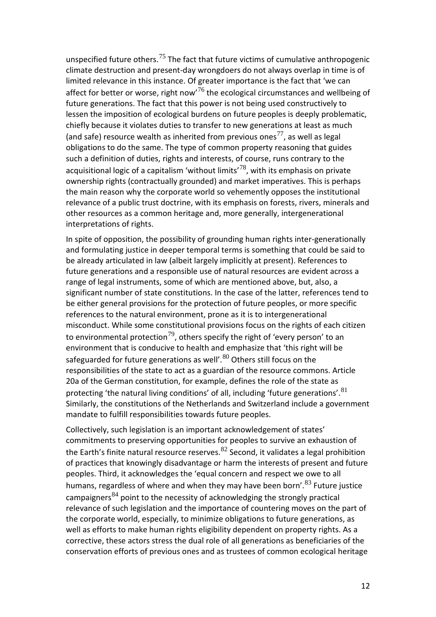unspecified future others.<sup>[75](#page-20-5)</sup> The fact that future victims of cumulative anthropogenic climate destruction and present-day wrongdoers do not always overlap in time is of limited relevance in this instance. Of greater importance is the fact that 'we can affect for better or worse, right now<sup>[76](#page-20-6)</sup> the ecological circumstances and wellbeing of future generations. The fact that this power is not being used constructively to lessen the imposition of ecological burdens on future peoples is deeply problematic, chiefly because it violates duties to transfer to new generations at least as much (and safe) resource wealth as inherited from previous ones<sup>[77](#page-20-7)</sup>, as well as legal obligations to do the same. The type of common property reasoning that guides such a definition of duties, rights and interests, of course, runs contrary to the acquisitional logic of a capitalism 'without limits'<sup>[78](#page-20-8)</sup>, with its emphasis on private ownership rights (contractually grounded) and market imperatives. This is perhaps the main reason why the corporate world so vehemently opposes the institutional relevance of a public trust doctrine, with its emphasis on forests, rivers, minerals and other resources as a common heritage and, more generally, intergenerational interpretations of rights.

In spite of opposition, the possibility of grounding human rights inter-generationally and formulating justice in deeper temporal terms is something that could be said to be already articulated in law (albeit largely implicitly at present). References to future generations and a responsible use of natural resources are evident across a range of legal instruments, some of which are mentioned above, but, also, a significant number of state constitutions. In the case of the latter, references tend to be either general provisions for the protection of future peoples, or more specific references to the natural environment, prone as it is to intergenerational misconduct. While some constitutional provisions focus on the rights of each citizen to environmental protection<sup>[79](#page-20-9)</sup>, others specify the right of 'every person' to an environment that is conducive to health and emphasize that 'this right will be safeguarded for future generations as well'. $^{80}$  $^{80}$  $^{80}$  Others still focus on the responsibilities of the state to act as a guardian of the resource commons. Article 20a of the German constitution, for example, defines the role of the state as protecting 'the natural living conditions' of all, including 'future generations'. $81$ Similarly, the constitutions of the Netherlands and Switzerland include a government mandate to fulfill responsibilities towards future peoples.

Collectively, such legislation is an important acknowledgement of states' commitments to preserving opportunities for peoples to survive an exhaustion of the Earth's finite natural resource reserves.<sup>[82](#page-20-12)</sup> Second, it validates a legal prohibition of practices that knowingly disadvantage or harm the interests of present and future peoples. Third, it acknowledges the 'equal concern and respect we owe to all humans, regardless of where and when they may have been born'.<sup>[83](#page-20-13)</sup> Future justice campaigners<sup>[84](#page-20-14)</sup> point to the necessity of acknowledging the strongly practical relevance of such legislation and the importance of countering moves on the part of the corporate world, especially, to minimize obligations to future generations, as well as efforts to make human rights eligibility dependent on property rights. As a corrective, these actors stress the dual role of all generations as beneficiaries of the conservation efforts of previous ones and as trustees of common ecological heritage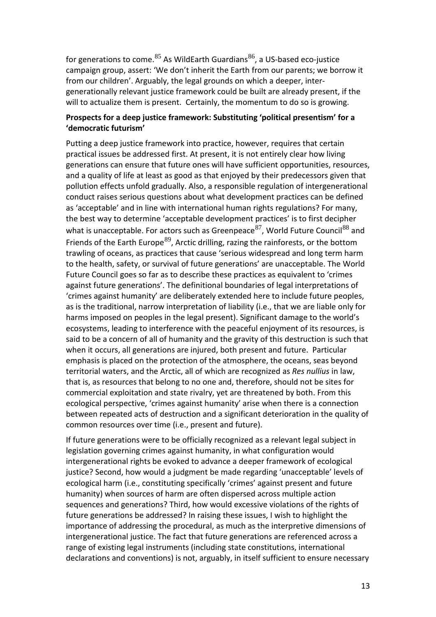for generations to come.<sup>[85](#page-20-14)</sup> As WildEarth Guardians<sup>[86](#page-20-14)</sup>, a US-based eco-justice campaign group, assert: 'We don't inherit the Earth from our parents; we borrow it from our children'. Arguably, the legal grounds on which a deeper, intergenerationally relevant justice framework could be built are already present, if the will to actualize them is present. Certainly, the momentum to do so is growing.

## **Prospects for a deep justice framework: Substituting 'political presentism' for a 'democratic futurism'**

Putting a deep justice framework into practice, however, requires that certain practical issues be addressed first. At present, it is not entirely clear how living generations can ensure that future ones will have sufficient opportunities, resources, and a quality of life at least as good as that enjoyed by their predecessors given that pollution effects unfold gradually. Also, a responsible regulation of intergenerational conduct raises serious questions about what development practices can be defined as 'acceptable' and in line with international human rights regulations? For many, the best way to determine 'acceptable development practices' is to first decipher what is unacceptable. For actors such as Greenpeace  $87$ , World Future Council  $88$  and Friends of the Earth Europe<sup>[89](#page-20-16)</sup>, Arctic drilling, razing the rainforests, or the bottom trawling of oceans, as practices that cause 'serious widespread and long term harm to the health, safety, or survival of future generations' are unacceptable. The World Future Council goes so far as to describe these practices as equivalent to 'crimes against future generations'. The definitional boundaries of legal interpretations of 'crimes against humanity' are deliberately extended here to include future peoples, as is the traditional, narrow interpretation of liability (i.e., that we are liable only for harms imposed on peoples in the legal present). Significant damage to the world's ecosystems, leading to interference with the peaceful enjoyment of its resources, is said to be a concern of all of humanity and the gravity of this destruction is such that when it occurs, all generations are injured, both present and future. Particular emphasis is placed on the protection of the atmosphere, the oceans, seas beyond territorial waters, and the Arctic, all of which are recognized as *Res nullius* in law, that is, as resources that belong to no one and, therefore, should not be sites for commercial exploitation and state rivalry, yet are threatened by both. From this ecological perspective, 'crimes against humanity' arise when there is a connection between repeated acts of destruction and a significant deterioration in the quality of common resources over time (i.e., present and future).

If future generations were to be officially recognized as a relevant legal subject in legislation governing crimes against humanity, in what configuration would intergenerational rights be evoked to advance a deeper framework of ecological justice? Second, how would a judgment be made regarding 'unacceptable' levels of ecological harm (i.e., constituting specifically 'crimes' against present and future humanity) when sources of harm are often dispersed across multiple action sequences and generations? Third, how would excessive violations of the rights of future generations be addressed? In raising these issues, I wish to highlight the importance of addressing the procedural, as much as the interpretive dimensions of intergenerational justice. The fact that future generations are referenced across a range of existing legal instruments (including state constitutions, international declarations and conventions) is not, arguably, in itself sufficient to ensure necessary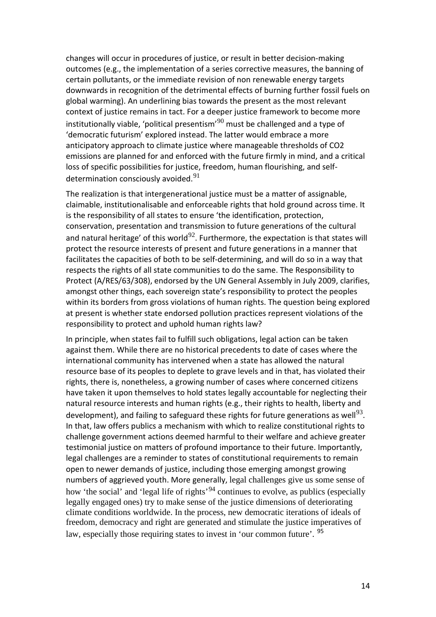changes will occur in procedures of justice, or result in better decision-making outcomes (e.g., the implementation of a series corrective measures, the banning of certain pollutants, or the immediate revision of non renewable energy targets downwards in recognition of the detrimental effects of burning further fossil fuels on global warming). An underlining bias towards the present as the most relevant context of justice remains in tact. For a deeper justice framework to become more institutionally viable, 'political presentism' $^{90}$  $^{90}$  $^{90}$  must be challenged and a type of 'democratic futurism' explored instead. The latter would embrace a more anticipatory approach to climate justice where manageable thresholds of CO2 emissions are planned for and enforced with the future firmly in mind, and a critical loss of specific possibilities for justice, freedom, human flourishing, and selfdetermination consciously avoided.  $91$ 

The realization is that intergenerational justice must be a matter of assignable, claimable, institutionalisable and enforceable rights that hold ground across time. It is the responsibility of all states to ensure 'the identification, protection, conservation, presentation and transmission to future generations of the cultural and natural heritage' of this world<sup>[92](#page-21-0)</sup>. Furthermore, the expectation is that states will protect the resource interests of present and future generations in a manner that facilitates the capacities of both to be self-determining, and will do so in a way that respects the rights of all state communities to do the same. The Responsibility to Protect (A/RES/63/308), endorsed by the UN General Assembly in July 2009, clarifies, amongst other things, each sovereign state's responsibility to protect the peoples within its borders from gross violations of human rights. The question being explored at present is whether state endorsed pollution practices represent violations of the responsibility to protect and uphold human rights law?

In principle, when states fail to fulfill such obligations, legal action can be taken against them. While there are no historical precedents to date of cases where the international community has intervened when a state has allowed the natural resource base of its peoples to deplete to grave levels and in that, has violated their rights, there is, nonetheless, a growing number of cases where concerned citizens have taken it upon themselves to hold states legally accountable for neglecting their natural resource interests and human rights (e.g., their rights to health, liberty and development), and failing to safeguard these rights for future generations as well<sup>[93](#page-21-1)</sup>. In that, law offers publics a mechanism with which to realize constitutional rights to challenge government actions deemed harmful to their welfare and achieve greater testimonial justice on matters of profound importance to their future. Importantly, legal challenges are a reminder to states of constitutional requirements to remain open to newer demands of justice, including those emerging amongst growing numbers of aggrieved youth. More generally, legal challenges give us some sense of how 'the social' and 'legal life of rights'<sup>[94](#page-21-2)</sup> continues to evolve, as publics (especially legally engaged ones) try to make sense of the justice dimensions of deteriorating climate conditions worldwide. In the process, new democratic iterations of ideals of freedom, democracy and right are generated and stimulate the justice imperatives of law, especially those requiring states to invest in 'our common future'. <sup>[95](#page-21-3)</sup>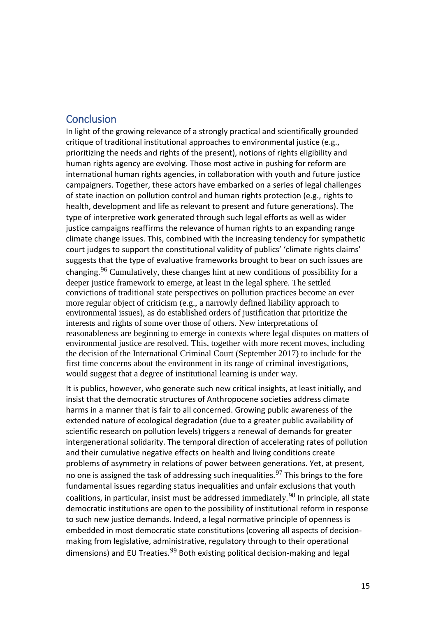## **Conclusion**

In light of the growing relevance of a strongly practical and scientifically grounded critique of traditional institutional approaches to environmental justice (e.g., prioritizing the needs and rights of the present), notions of rights eligibility and human rights agency are evolving. Those most active in pushing for reform are international human rights agencies, in collaboration with youth and future justice campaigners. Together, these actors have embarked on a series of legal challenges of state inaction on pollution control and human rights protection (e.g., rights to health, development and life as relevant to present and future generations). The type of interpretive work generated through such legal efforts as well as wider justice campaigns reaffirms the relevance of human rights to an expanding range climate change issues. This, combined with the increasing tendency for sympathetic court judges to support the constitutional validity of publics' 'climate rights claims' suggests that the type of evaluative frameworks brought to bear on such issues are changing.<sup>[96](#page-21-4)</sup> Cumulatively, these changes hint at new conditions of possibility for a deeper justice framework to emerge, at least in the legal sphere. The settled convictions of traditional state perspectives on pollution practices become an ever more regular object of criticism (e.g., a narrowly defined liability approach to environmental issues), as do established orders of justification that prioritize the interests and rights of some over those of others. New interpretations of reasonableness are beginning to emerge in contexts where legal disputes on matters of environmental justice are resolved. This, together with more recent moves, including the decision of the International Criminal Court (September 2017) to include for the first time concerns about the environment in its range of criminal investigations, would suggest that a degree of institutional learning is under way.

It is publics, however, who generate such new critical insights, at least initially, and insist that the democratic structures of Anthropocene societies address climate harms in a manner that is fair to all concerned. Growing public awareness of the extended nature of ecological degradation (due to a greater public availability of scientific research on pollution levels) triggers a renewal of demands for greater intergenerational solidarity. The temporal direction of accelerating rates of pollution and their cumulative negative effects on health and living conditions create problems of asymmetry in relations of power between generations. Yet, at present, no one is assigned the task of addressing such inequalities. $^{97}$  $^{97}$  $^{97}$  This brings to the fore fundamental issues regarding status inequalities and unfair exclusions that youth coalitions, in particular, insist must be addressed immediately.<sup>[98](#page-21-6)</sup> In principle, all state democratic institutions are open to the possibility of institutional reform in response to such new justice demands. Indeed, a legal normative principle of openness is embedded in most democratic state constitutions (covering all aspects of decisionmaking from legislative, administrative, regulatory through to their operational dimensions) and EU Treaties.<sup>[99](#page-21-7)</sup> Both existing political decision-making and legal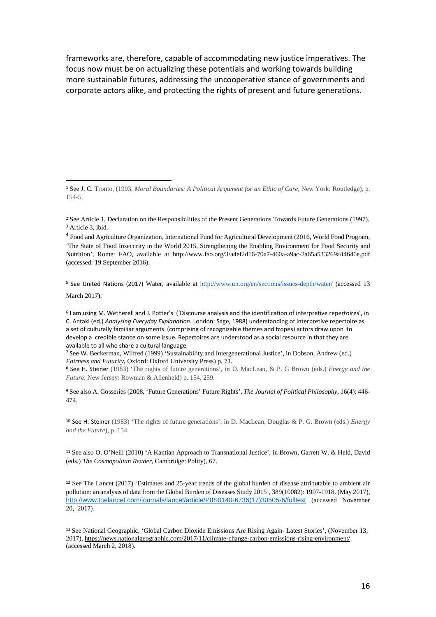frameworks are, therefore, capable of accommodating new justice imperatives. The focus now must be on actualizing these potentials and working towards building more sustainable futures, addressing the uncooperative stance of governments and corporate actors alike, and protecting the rights of present and future generations.

 $\overline{a}$ 

<span id="page-16-4"></span><sup>5</sup> See United Nations (2017) Water, available at<http://www.un.org/en/sections/issues-depth/water/> (accessed 13 March 2017).

<span id="page-16-5"></span><sup>6</sup> I am using M. Wetherell and J. Potter's ('Discourse analysis and the identification of interpretive repertoires', in C. Antaki (ed.) *Analysing Everyday Explanation*. London: Sage, 1988) understanding of interpretive repertoire as a set of culturally familiar arguments (comprising of recognizable themes and tropes) actors draw upon to develop a credible stance on some issue. Repertoires are understood as a social resource in that they are available to all who share a cultural language.

<span id="page-16-6"></span><sup>7</sup> See W. Beckerman, Wilfred (1999) 'Sustainability and Intergenerational Justice', in Dobson, Andrew (ed.) *Fairness and Futurity*, Oxford: Oxford University Press) p. 71.

<span id="page-16-7"></span><sup>8</sup> See H. Steiner (1983) 'The rights of future generations', in D. MacLean, & P. G Brown (eds.) *Energy and the Future*, New Jersey: Rowman & Allenheld) p. 154, 259.

<span id="page-16-8"></span><sup>9</sup> See also A. Gosseries (2008, 'Future Generations' Future Rights', *The Journal of Political Philosophy*, 16(4): 446- 474.

<span id="page-16-9"></span><sup>10</sup> See H. Steiner (1983) 'The rights of future generations', in D. MacLean, Douglas & P. G. Brown (eds.) *Energy and the Future*), p. 154.

<span id="page-16-10"></span><sup>11</sup> See also O. O'Neill (2010) 'A Kantian Approach to Transnational Justice', in Brown, Garrett W. & Held, David (eds.) *The Cosmopolitan Reader*, Cambridge: Polity), 67.

<span id="page-16-11"></span><sup>12</sup> See The Lancet (2017) 'Estimates and 25-year trends of the global burden of disease attributable to ambient air pollution: an analysis of data from the Global Burden of Diseases Study 2015', 389(10082): 1907-1918. (May 2017), [http://www.thelancet.com/journals/lancet/article/PIIS0140-6736\(17\)30505-6/fulltext](http://www.thelancet.com/journals/lancet/article/PIIS0140-6736(17)30505-6/fulltext) (accessed November 20, 2017).

<span id="page-16-12"></span><sup>13</sup> See National Geographic, 'Global Carbon Dioxide Emissions Are Rising Again- Latest Stories', (November 13, 2017)[, https://news.nationalgeographic.com/2017/11/climate-change-carbon-emissions-rising-environment/](https://news.nationalgeographic.com/2017/11/climate-change-carbon-emissions-rising-environment/) (accessed March 2, 2018).

<span id="page-16-0"></span><sup>1</sup> See J. C. Tronto, (1993, *Moral Boundaries: A Political Argument for an Ethic of Care*, New York: Routledge), p. 154-5.

<span id="page-16-2"></span><span id="page-16-1"></span><sup>&</sup>lt;sup>2</sup> See Article 1, Declaration on the Responsibilities of the Present Generations Towards Future Generations (1997). <sup>3</sup> Article 3, ibid.

<span id="page-16-3"></span><sup>4</sup> Food and Agriculture Organization, International Fund for Agricultural Development (2016, World Food Program, 'The State of Food Insecurity in the World 2015. Strengthening the Enabling Environment for Food Security and Nutrition', Rome: FAO, available at <http://www.fao.org/3/a4ef2d16-70a7-460a-a9ac-2a65a533269a/i4646e.pdf> (accessed: 19 September 2016).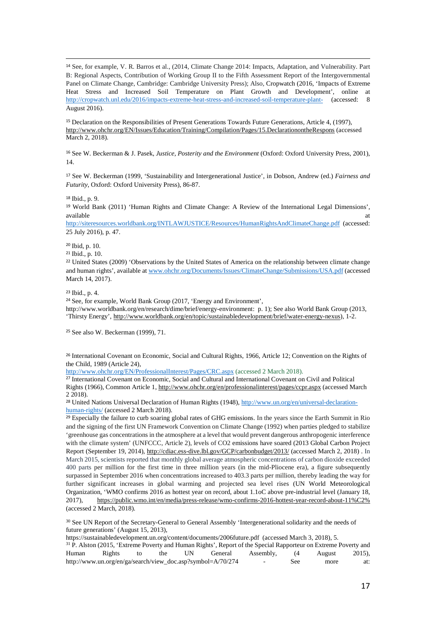<span id="page-17-0"></span> 14 See, for example, V. R. Barros et al., (2014, Climate Change 2014: Impacts, Adaptation, and Vulnerability. Part B: Regional Aspects, Contribution of Working Group II to the Fifth Assessment Report of the Intergovernmental Panel on Climate Change, Cambridge: Cambridge University Press); Also, Cropwatch (2016, 'Impacts of Extreme Heat Stress and Increased Soil Temperature on Plant Growth and Development', online at <http://cropwatch.unl.edu/2016/impacts-extreme-heat-stress-and-increased-soil-temperature-plant-> (accessed: 8 August 2016).

<span id="page-17-1"></span><sup>15</sup> Declaration on the Responsibilities of Present Generations Towards Future Generations, Article 4, (1997), <http://www.ohchr.org/EN/Issues/Education/Training/Compilation/Pages/15.DeclarationontheRespons> (accessed March 2, 2018).

<span id="page-17-2"></span><sup>16</sup> See W. Beckerman & J. Pasek, *Justice, Posterity and the Environment* (Oxford: Oxford University Press, 2001), 14.

<span id="page-17-3"></span><sup>17</sup> See W. Beckerman (1999, 'Sustainability and Intergenerational Justice', in Dobson, Andrew (ed.) *Fairness and Futurity*, Oxford: Oxford University Press), 86-87.

<span id="page-17-4"></span><sup>18</sup> Ibid., p. 9.

<span id="page-17-5"></span><sup>19</sup> World Bank (2011) 'Human Rights and Climate Change: A Review of the International Legal Dimensions', available at the contract of the contract of the contract of the contract of the contract of the contract of the contract of the contract of the contract of the contract of the contract of the contract of the contract of t

<http://siteresources.worldbank.org/INTLAWJUSTICE/Resources/HumanRightsAndClimateChange.pdf> (accessed: 25 July 2016), p. 47.

<span id="page-17-6"></span><sup>20</sup> Ibid, p. 10.

<span id="page-17-7"></span><sup>21</sup> Ibid., p. 10.

<span id="page-17-8"></span><sup>22</sup> United States (2009) 'Observations by the United States of America on the relationship between climate change and human rights', available a[t www.ohchr.org/Documents/Issues/ClimateChange/Submissions/USA.pdf](http://www.ohchr.org/Documents/Issues/ClimateChange/Submissions/USA.pdf) (accessed March 14, 2017).

<span id="page-17-9"></span><sup>23</sup> Ibid., p. 4.

<span id="page-17-10"></span><sup>24</sup> See, for example, World Bank Group (2017, 'Energy and Environment',

http://www.worldbank.org/en/research/dime/brief/energy-environment: p. 1); See also World Bank Group (2013, 'Thirsty Energy'[, http://www.worldbank.org/en/topic/sustainabledevelopment/brief/water-energy-nexus\)](http://www.worldbank.org/en/topic/sustainabledevelopment/brief/water-energy-nexus), 1-2.

<span id="page-17-11"></span><sup>25</sup> See also W. Beckerman (1999), 71.

<span id="page-17-12"></span><sup>26</sup> International Covenant on Economic, Social and Cultural Rights, 1966, Article 12; Convention on the Rights of the Child, 1989 (Article 24),

<http://www.ohchr.org/EN/ProfessionalInterest/Pages/CRC.aspx> (accessed 2 March 2018).

<span id="page-17-13"></span><sup>27</sup> International Covenant on Economic, Social and Cultural and International Covenant on Civil and Political Rights (1966), Common Article 1[, http://www.ohchr.org/en/professionalinterest/pages/ccpr.aspx](http://www.ohchr.org/en/professionalinterest/pages/ccpr.aspx) (accessed March 2 2018).

<span id="page-17-14"></span><sup>28</sup> United Nations Universal Declaration of Human Rights (1948)[, http://www.un.org/en/universal-declaration](http://www.un.org/en/universal-declaration-human-rights/)[human-rights/](http://www.un.org/en/universal-declaration-human-rights/) (accessed 2 March 2018).

<span id="page-17-15"></span><sup>29</sup> Especially the failure to curb soaring global rates of GHG emissions. In the years since the Earth Summit in Rio and the signing of the first UN Framework Convention on Climate Change (1992) when parties pledged to stabilize 'greenhouse gas concentrations in the atmosphere at a level that would prevent dangerous anthropogenic interference with the climate system' (UNFCCC, Article 2), levels of CO2 emissions have soared (2013 Global Carbon Project Report (September 19, 2014),<http://cdiac.ess-dive.lbl.gov/GCP/carbonbudget/2013/> (accessed March 2, 2018) . In March 2015, scientists reported that monthly global average atmospheric concentrations of carbon dioxide exceeded 400 parts per million for the first time in three million years (in the mid-Pliocene era), a figure subsequently surpassed in September 2016 when concentrations increased to 403.3 parts per million, thereby leading the way for further significant increases in global warming and projected sea level rises (UN World Meteorological Organization, 'WMO confirms 2016 as hottest year on record, about 1.1oC above pre-industrial level (January 18, 2017), [https://public.wmo.int/en/media/press-release/wmo-confirms-2016-hottest-year-record-about-11%C2%](https://public.wmo.int/en/media/press-release/wmo-confirms-2016-hottest-year-record-about-11%C2%25) (accessed 2 March, 2018).

<span id="page-17-16"></span><sup>30</sup> See UN Report of the Secretary-General to General Assembly 'Intergenerational solidarity and the needs of future generations' (August 15, 2013),

<span id="page-17-17"></span>

| https://sustainabledevelopment.un.org/content/documents/2006future.pdf (accessed March 3, 2018), 5.                        |        |    |     |    |         |                          |     |        |        |  |  |
|----------------------------------------------------------------------------------------------------------------------------|--------|----|-----|----|---------|--------------------------|-----|--------|--------|--|--|
| <sup>31</sup> P. Alston (2015, 'Extreme Poverty and Human Rights', Report of the Special Rapporteur on Extreme Poverty and |        |    |     |    |         |                          |     |        |        |  |  |
| Human                                                                                                                      | Rights | to | the | UN | General | Assembly.                | -64 | August | 2015). |  |  |
| http://www.un.org/en/ga/search/view_doc.asp?symbol=A/70/274                                                                |        |    |     |    |         | $\overline{\phantom{0}}$ | See | more   | at:    |  |  |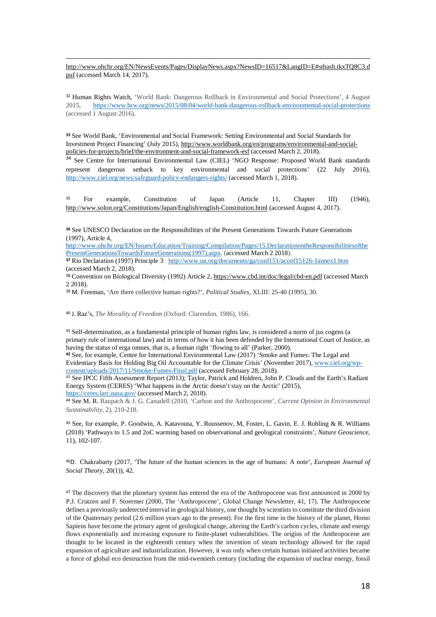j [http://www.ohchr.org/EN/NewsEvents/Pages/DisplayNews.aspx?NewsID=16517&LangID=E#sthash.tkxTQ8C3.d](http://www.ohchr.org/EN/NewsEvents/Pages/DisplayNews.aspx?NewsID=16517&LangID=E#sthash.tkxTQ8C3.dpuf) [puf](http://www.ohchr.org/EN/NewsEvents/Pages/DisplayNews.aspx?NewsID=16517&LangID=E#sthash.tkxTQ8C3.dpuf) (accessed March 14, 2017).

<span id="page-18-0"></span><sup>32</sup> Human Rights Watch, 'World Bank: Dangerous Rollback in Environmental and Social Protections', 4 August 2015, <https://www.hrw.org/news/2015/08/04/world-bank-dangerous-rollback-environmental-social-protections> (accessed 1 August 2016).

<span id="page-18-1"></span>**<sup>33</sup>** See World Bank, 'Environmental and Social Framework: Setting Environmental and Social Standards for Investment Project Financing' (July 2015), [http://www.worldbank.org/en/programs/environmental-and-social](http://www.worldbank.org/en/programs/environmental-and-social-policies-for-projects/brief/the-environment-and-social-framework-esf)[policies-for-projects/brief/the-environment-and-social-framework-esf](http://www.worldbank.org/en/programs/environmental-and-social-policies-for-projects/brief/the-environment-and-social-framework-esf) (accessed March 2, 2018).

<span id="page-18-2"></span><sup>34</sup> See Centre for International Environmental Law (CIEL) 'NGO Response: Proposed World Bank standards represent dangerous setback to key environmental and social protections' (22 July 2016), <http://www.ciel.org/news/safeguard-policy-endangers-rights/> (accessed March 1, 2018).

<span id="page-18-3"></span><sup>35</sup> For example, Constitution of Japan (Article 11, Chapter III) (1946), <http://www.solon.org/Constitutions/Japan/English/english-Constitution.html> (accessed August 4, 2017).

<span id="page-18-4"></span>**<sup>36</sup>** See UNESCO Declaration on the Responsibilities of the Present Generations Towards Future Generations (1997), Article 4,

[http://www.ohchr.org/EN/Issues/Education/Training/Compilation/Pages/15.DeclarationontheResponsibilitiesofthe](http://www.ohchr.org/EN/Issues/Education/Training/Compilation/Pages/15.DeclarationontheResponsibilitiesofthePresentGenerationsTowardsFutureGenerations(1997).aspx) [PresentGenerationsTowardsFutureGenerations\(1997\).aspx.](http://www.ohchr.org/EN/Issues/Education/Training/Compilation/Pages/15.DeclarationontheResponsibilitiesofthePresentGenerationsTowardsFutureGenerations(1997).aspx) (accessed March 2 2018).

<span id="page-18-5"></span><sup>37</sup> Rio Declaration (1997) Principle 3 <http://www.un.org/documents/ga/conf151/aconf15126-1annex1.htm> (accessed March 2, 2018).

<span id="page-18-6"></span>38 Convention on Biological Diversity (1992) Article 2, <https://www.cbd.int/doc/legal/cbd-en.pdf> (accessed March 2 2018).

<span id="page-18-7"></span><sup>39</sup> M. Freeman, 'Are there collective human rights?', *Political Studies*, XLIII: 25-40 (1995), 30.

<span id="page-18-8"></span><sup>40</sup> J. Raz's, *The Morality of Freedom* (Oxford: Clarendon, 1986), 166.

<span id="page-18-9"></span><sup>41</sup> Self-determination, as a fundamental principle of human rights law, is considered a norm of jus cogens (a primary rule of international law) and in terms of how it has been defended by the International Court of Justice, as having the status of erga omnes, that is, a human right 'flowing to all' (Parker, 2000).

<span id="page-18-10"></span>**<sup>42</sup>** See, for example, Centre for International Environmental Law (2017) 'Smoke and Fumes: The Legal and Evidentiary Basis for Holding Big Oil Accountable for the Climate Crisis' (November 2017), [www.ciel.org/wp](http://www.ciel.org/wp-content/uploads/2017/11/Smoke-Fumes-Final.pdf)[content/uploads/2017/11/Smoke-Fumes-Final.pdf](http://www.ciel.org/wp-content/uploads/2017/11/Smoke-Fumes-Final.pdf) (accessed February 28, 2018).

<span id="page-18-11"></span><sup>43</sup> See IPCC Fifth Assessment Report (2013); Taylor, Patrick and Holdren, John P. Clouds and the Earth's Radiant Energy System (CERES) 'What happens in the Arctic doesn't stay on the Arctic' (2015), <https://ceres.larc.nasa.gov/> (accessed March 2, 2018).

<span id="page-18-12"></span><sup>44</sup> See M. R. Raupach & J. G. Canadell (2010, 'Carbon and the Anthropocene', *Current Opinion in Environmental Sustainability*, 2), 210-218.

<span id="page-18-13"></span><sup>45</sup> See, for example, P. Goodwin, A. Katavouta, Y. Roussenov, M, Foster, L. Gavin, E. J. Rohling & R. Williams (2018) 'Pathways to 1.5 and 2oC warming based on observational and geological constraints', *Nature Geoscience,*  11), 102-107.

<span id="page-18-14"></span>46D. Chakrabarty (2017, 'The future of the human sciences in the age of humans: A note', *European Journal of Social Theory,* 20(1)), 42.

<span id="page-18-15"></span><sup>47</sup> The discovery that the planetary system has entered the era of the Anthropocene was first announced in 2000 by P.J. Crutzen and F. Stoermer (2000, The 'Anthropocene', Global Change Newsletter, 41, 17). The Anthropocene defines a previously undetected interval in geological history, one thought by scientists to constitute the third division of the Quaternary period (2.6 million years ago to the present). For the first time in the history of the planet, Homo Sapiens have become the primary agent of geological change, altering the Earth's carbon cycles, climate and energy flows exponentially and increasing exposure to finite-planet vulnerabilities. The origins of the Anthropocene are thought to be located in the eighteenth century when the invention of steam technology allowed for the rapid expansion of agriculture and industrialization. However, it was only when certain human initiated activities became a force of global eco destruction from the mid-twentieth century (including the expansion of nuclear energy, fossil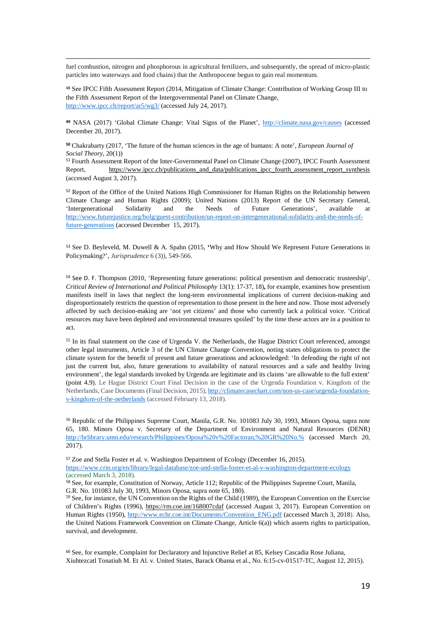fuel combustion, nitrogen and phosphorous in agricultural fertilizers, and subsequently, the spread of micro-plastic particles into waterways and food chains) that the Anthropocene begun to gain real momentum.

j

<span id="page-19-0"></span><sup>48</sup> See IPCC Fifth Assessment Report (2014, Mitigation of Climate Change: Contribution of Working Group III to the Fifth Assessment Report of the Intergovernmental Panel on Climate Change, <http://www.ipcc.ch/report/ar5/wg3/> (accessed July 24, 2017).

<span id="page-19-1"></span>**<sup>49</sup>** NASA (2017) 'Global Climate Change: Vital Signs of the Planet',<http://climate.nasa.gov/causes> (accessed December 20, 2017).

<span id="page-19-2"></span>**<sup>50</sup>** Chakrabarty (2017, 'The future of the human sciences in the age of humans: A note', *European Journal of Social Theory,* 20(1))

<span id="page-19-3"></span><sup>51</sup> Fourth Assessment Report of the Inter-Governmental Panel on Climate Change (2007), IPCC Fourth Assessment Report, [https://www.ipcc.ch/publications\\_and\\_data/publications\\_ipcc\\_fourth\\_assessment\\_report\\_synthesis](https://www.ipcc.ch/publications_and_data/publications_ipcc_fourth_assessment_report_synthesis) (accessed August 3, 2017).

<span id="page-19-4"></span><sup>52</sup> Report of the Office of the United Nations High Commissioner for Human Rights on the Relationship between Climate Change and Human Rights (2009); United Nations (2013) Report of the UN Secretary General, 'Intergenerational Solidarity and the Needs of Future Generations', available at [http://www.futurejustice.org/bolg/guest-contribution/un-report-on-intergenerational-solidarity-and-the-needs-of](http://www.futurejustice.org/bolg/guest-contribution/un-report-on-intergenerational-solidarity-and-the-needs-of-future-generations)[future-generations](http://www.futurejustice.org/bolg/guest-contribution/un-report-on-intergenerational-solidarity-and-the-needs-of-future-generations) (accessed December 15, 2017).

<span id="page-19-5"></span><sup>53</sup> See D. Beyleveld, M. Duwell & A. Spahn (2015, **'**[Why and How Should We Represent Future Generations in](https://www.dur.ac.uk/law/staff/?mode=pdetail&id=4165&sid=4165&pdetail=101697)  [Policymaking?'](https://www.dur.ac.uk/law/staff/?mode=pdetail&id=4165&sid=4165&pdetail=101697), *Jurisprudence* 6 (3)), 549-566.

<span id="page-19-6"></span><sup>54</sup> See D. F. Thompson (2010, 'Representing future generations: political presentism and democratic trusteeship', *Critical Review of International and Political Philosophy* 13(1): 17-37, 18)**,** for example, examines how presentism manifests itself in laws that neglect the long-term environmental implications of current decision-making and disproportionately restricts the question of representation to those present in the here and now. Those most adversely affected by such decision-making are 'not yet citizens' and those who currently lack a political voice. 'Critical resources may have been depleted and environmental treasures spoiled' by the time these actors are in a position to act.

<span id="page-19-7"></span><sup>55</sup> In its final statement on the case of Urgenda V. the Netherlands, the Hague District Court referenced, amongst other legal instruments, Article 3 of the UN Climate Change Convention, noting states obligations to protect the climate system for the benefit of present and future generations and acknowledged: 'In defending the right of not just the current but, also, future generations to availability of natural resources and a safe and healthy living environment', the legal standards invoked by Urgenda are legitimate and its claims 'are allowable to the full extent' (point 4.9). Le Hague District Court Final Decision in the case of the Urgenda Foundation v. Kingdom of the Netherlands, Case Documents (Final Decision, 2015)[, http://climatecasechart.com/non-us-case/urgenda-foundation](http://climatecasechart.com/non-us-case/urgenda-foundation-v-kingdom-of-the-netherlands)[v-kingdom-of-the-netherlands](http://climatecasechart.com/non-us-case/urgenda-foundation-v-kingdom-of-the-netherlands) (accessed February 13, 2018).

<span id="page-19-8"></span><sup>56</sup> Republic of the Philippines Supreme Court, Manila, G.R. No. 101083 July 30, 1993, Minors Oposa, supra note 65, 180. Minors Oposa v. Secretary of the Department of Environment and Natural Resources (DENR) [http://hrlibrary.umn.edu/research/Philippines/Oposa%20v%20Factoran,%20GR%20No.%](http://hrlibrary.umn.edu/research/Philippines/Oposa%20v%20Factoran,%20GR%20No.%25) (accessed March 20, 2017).

<span id="page-19-9"></span><sup>57</sup> Zoe and Stella Foster et al. v. Washington Department of Ecology (December 16, 2015). <https://www.crin.org/en/library/legal-database/zoe-and-stella-foster-et-al-v-washington-department-ecology> (accessed March 3, 2018).

<span id="page-19-11"></span><sup>59</sup> See, for instance, the UN Convention on the Rights of the Child (1989), the European Convention on the Exercise of Children's Rights (1996),<https://rm.coe.int/168007cdaf> (accessed August 3, 2017). European Convention on Human Rights (1950), [http://www.echr.coe.int/Documents/Convention\\_ENG.pdf](http://www.echr.coe.int/Documents/Convention_ENG.pdf) (accessed March 3, 2018). Also, the United Nations Framework Convention on Climate Change, Article 6(a)) which asserts rights to participation, survival, and development.

<span id="page-19-12"></span><sup>60</sup> See, for example, Complaint for Declaratory and Injunctive Relief at 85, Kelsey Cascadia Rose Juliana, Xiuhtezcatl Tonatiuh M. Et Al. v. United States, Barack Obama et al., No. 6:15-cv-01517-TC, August 12, 2015).

<span id="page-19-10"></span><sup>58</sup> See, for example, Constitution of Norway, Article 112; Republic of the Philippines Supreme Court, Manila, G.R. No. 101083 July 30, 1993, Minors Oposa, supra note 65, 180).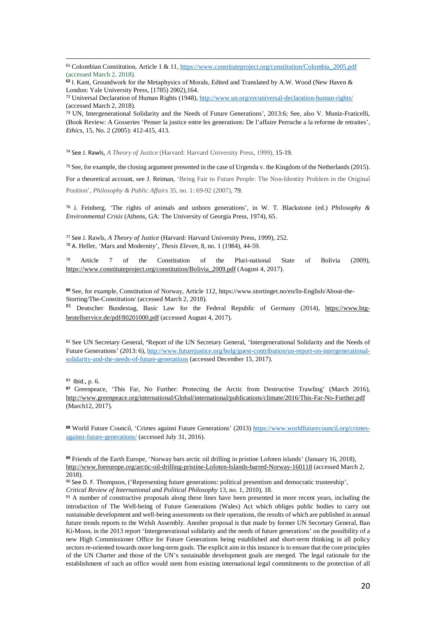<span id="page-20-0"></span> 61 Colombian Constitution, Article 1 & 11, [https://www.constituteproject.org/constitution/Colombia\\_2005.pdf](https://www.constituteproject.org/constitution/Colombia_2005.pdf) (accessed March 2, 2018).

<span id="page-20-2"></span><sup>72</sup> Universal Declaration of Human Rights (1948), <http://www.un.org/en/universal-declaration-human-rights/> (accessed March 2, 2018).

<span id="page-20-3"></span><sup>73</sup> UN, Intergenerational Solidarity and the Needs of Future Generations', 2013:6; See, also V. Muniz-Fraticelli, (Book Review: A Gosseries 'Penser la justice entre les generations: De l'affaire Perruche a la reforme de retraites', *Ethics*, 15, No. 2 (2005): 412-415, 413.

<span id="page-20-4"></span><sup>74</sup> See J. Rawls, *A Theory of Justice* (Harvard: Harvard University Press, 1999), 15-19.

<span id="page-20-5"></span><sup>75</sup> See, for example, the closing argument presented in the case of Urgenda v. the Kingdom of the Netherlands (2015).

For a theoretical account, see J. Reiman, 'Being Fair to Future People: The Non-Identity Problem in the Original Position', *Philosophy & Public Affairs* 35, no. 1: 69-92 (2007), 79.

<span id="page-20-6"></span><sup>76</sup> J. Feinberg, 'The rights of animals and unborn generations', in W. T. Blackstone (ed.) *Philosophy & Environmental Crisis* (Athens, GA: The University of Georgia Press, 1974), 65.

<span id="page-20-8"></span><span id="page-20-7"></span><sup>77</sup> See J. Rawls, *A Theory of Justice* (Harvard: Harvard University Press, 1999), 252. <sup>78</sup> A. Heller, 'Marx and Modernity', *Thesis Eleven,* 8, no. 1 (1984), 44-59.

<span id="page-20-9"></span><sup>79</sup> Article 7 of the Constitution of the Pluri-national State of Bolivia (2009), [https://www.constituteproject.org/constitution/Bolivia\\_2009.pdf](https://www.constituteproject.org/constitution/Bolivia_2009.pdf) (August 4, 2017).

<span id="page-20-10"></span>**<sup>80</sup>** See, for example, Constitution of Norway, Article 112, https://www.stortinget.no/en/In-English/About-the-Storting/The-Constitution/ (accessed March 2, 2018).

<span id="page-20-11"></span><sup>81</sup> Deutscher Bundestag, Basic Law for the Federal Republic of Germany (2014), [https://www.btg](https://www.btg-bestellservice.de/pdf/80201000.pdf)[bestellservice.de/pdf/80201000.pdf](https://www.btg-bestellservice.de/pdf/80201000.pdf) (accessed August 4, 2017).

<span id="page-20-12"></span><sup>82</sup> See UN Secretary General, **'**Report of the UN Secretary General, 'Intergenerational Solidarity and the Needs of Future Generations' (2013: 6)[, http://www.futurejustice.org/bolg/guest-contribution/un-report-on-intergenerational](http://www.futurejustice.org/bolg/guest-contribution/un-report-on-intergenerational-solidarity-and-the-needs-of-future-generations)[solidarity-and-the-needs-of-future-generations](http://www.futurejustice.org/bolg/guest-contribution/un-report-on-intergenerational-solidarity-and-the-needs-of-future-generations) (accessed December 15, 2017).

<span id="page-20-13"></span>83 Ibid., p. 6.

<span id="page-20-14"></span>**<sup>87</sup>** Greenpeace, 'This Far, No Further: Protecting the Arctic from Destructive Trawling' (March 2016), <http://www.greenpeace.org/international/Global/international/publications/climate/2016/This-Far-No-Further.pdf> (March12, 2017).

<span id="page-20-15"></span>**<sup>88</sup>** World Future Council, 'Crimes against Future Generations' (2013) [https://www.worldfuturecouncil.org/crimes](https://www.worldfuturecouncil.org/crimes-against-future-generations/)[against-future-generations/](https://www.worldfuturecouncil.org/crimes-against-future-generations/) (accessed July 31, 2016).

<span id="page-20-16"></span>**<sup>89</sup>** Friends of the Earth Europe, 'Norway bars arctic oil drilling in pristine Lofoten islands' (January 16, 2018), <http://www.foeeurope.org/arctic-oil-drilling-pristine-Lofoten-Islands-barred-Norway-160118> (accessed March 2, 2018).

<span id="page-20-17"></span><sup>90</sup> See D. F. Thompson, ('Representing future generations: political presentism and democratic trusteeship',

*Critical Review of International and Political Philosophy* 13, no. 1, 2010), 18.

<span id="page-20-18"></span><sup>91</sup> A number of constructive proposals along these lines have been presented in more recent years, including the introduction of The Well-being of Future Generations (Wales) Act which obliges public bodies to carry out sustainable development and well-being assessments on their operations, the results of which are published in annual future trends reports to the Welsh Assembly. Another proposal is that made by former UN Secretary General, Ban Ki-Moon, in the 2013 report 'Intergenerational solidarity and the needs of future generations' on the possibility of a new High Commissioner Office for Future Generations being established and short-term thinking in all policy sectors re-oriented towards more long-term goals. The explicit aim in this instance is to ensure that the core principles of the UN Charter and those of the UN's sustainable development goals are merged. The legal rationale for the establishment of such an office would stem from existing international legal commitments to the protection of all

<span id="page-20-1"></span>**<sup>62</sup>** I. Kant, Groundwork for the Metaphysics of Morals, Edited and Translated by A.W. Wood (New Haven & London: Yale University Press, [1785) 2002),164.